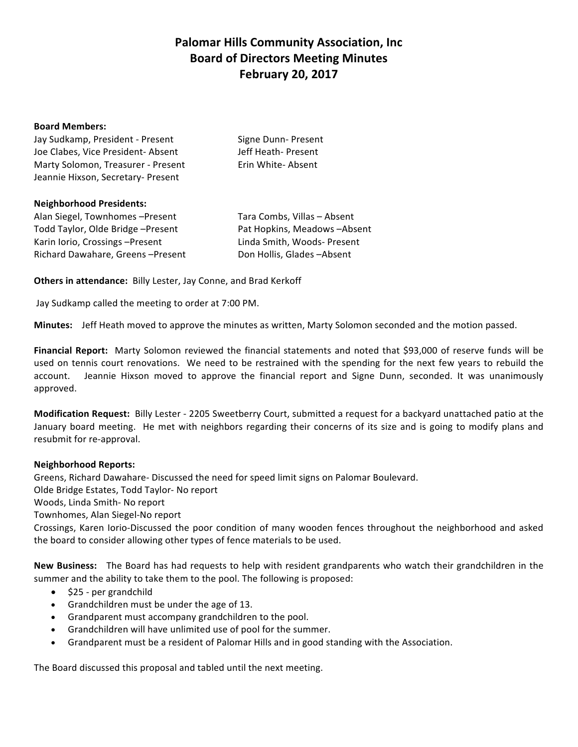# **Palomar Hills Community Association, Inc. Board of Directors Meeting Minutes February 20, 2017**

#### **Board Members:**

| Jay Sudkamp, President - Present   | Signe Dunn-Present |
|------------------------------------|--------------------|
| Joe Clabes. Vice President-Absent  | Jeff Heath-Present |
| Marty Solomon, Treasurer - Present | Erin White-Absent  |
| Jeannie Hixson, Secretary- Present |                    |

#### **Neighborhood Presidents:**

Alan Siegel, Townhomes -Present Tara Combs, Villas - Absent Todd Taylor, Olde Bridge –Present Pat Hopkins, Meadows –Absent Karin Iorio, Crossings –Present Linda Smith, Woods-Present Richard Dawahare, Greens -Present Don Hollis, Glades -Absent

**Others in attendance:** Billy Lester, Jay Conne, and Brad Kerkoff

Jay Sudkamp called the meeting to order at 7:00 PM.

**Minutes:** Jeff Heath moved to approve the minutes as written, Marty Solomon seconded and the motion passed.

**Financial Report:** Marty Solomon reviewed the financial statements and noted that \$93,000 of reserve funds will be used on tennis court renovations. We need to be restrained with the spending for the next few years to rebuild the account. Jeannie Hixson moved to approve the financial report and Signe Dunn, seconded. It was unanimously approved. 

**Modification Request:** Billy Lester - 2205 Sweetberry Court, submitted a request for a backyard unattached patio at the January board meeting. He met with neighbors regarding their concerns of its size and is going to modify plans and resubmit for re-approval.

### **Neighborhood Reports:**

Greens, Richard Dawahare- Discussed the need for speed limit signs on Palomar Boulevard. Olde Bridge Estates, Todd Taylor- No report Woods, Linda Smith- No report

Townhomes, Alan Siegel-No report

Crossings, Karen Iorio-Discussed the poor condition of many wooden fences throughout the neighborhood and asked the board to consider allowing other types of fence materials to be used.

**New Business:** The Board has had requests to help with resident grandparents who watch their grandchildren in the summer and the ability to take them to the pool. The following is proposed:

- $\bullet$  \$25 per grandchild
- Grandchildren must be under the age of 13.
- Grandparent must accompany grandchildren to the pool.
- Grandchildren will have unlimited use of pool for the summer.
- Grandparent must be a resident of Palomar Hills and in good standing with the Association.

The Board discussed this proposal and tabled until the next meeting.